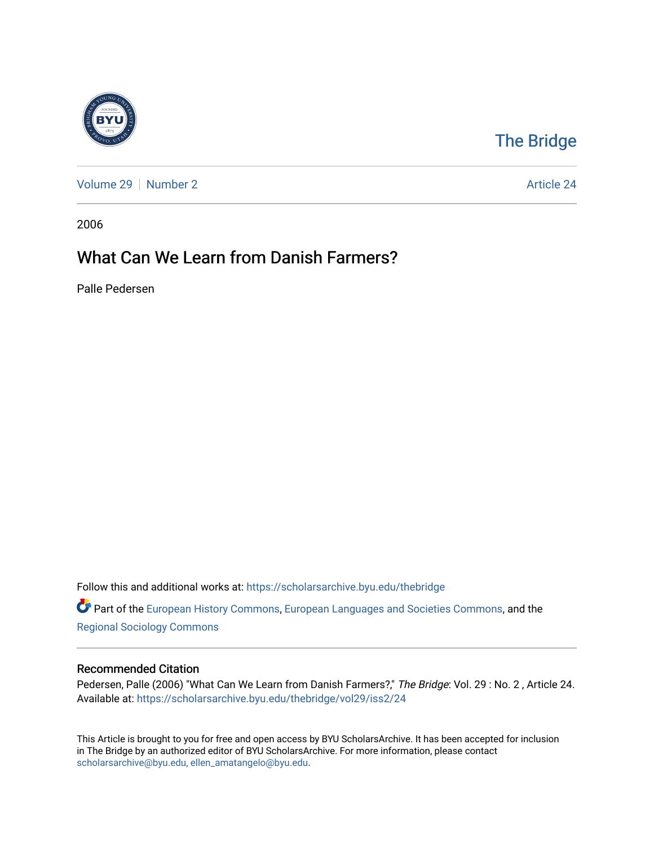

## [The Bridge](https://scholarsarchive.byu.edu/thebridge)

[Volume 29](https://scholarsarchive.byu.edu/thebridge/vol29) [Number 2](https://scholarsarchive.byu.edu/thebridge/vol29/iss2) Article 24

2006

# What Can We Learn from Danish Farmers?

Palle Pedersen

Follow this and additional works at: [https://scholarsarchive.byu.edu/thebridge](https://scholarsarchive.byu.edu/thebridge?utm_source=scholarsarchive.byu.edu%2Fthebridge%2Fvol29%2Fiss2%2F24&utm_medium=PDF&utm_campaign=PDFCoverPages) 

Part of the [European History Commons](http://network.bepress.com/hgg/discipline/492?utm_source=scholarsarchive.byu.edu%2Fthebridge%2Fvol29%2Fiss2%2F24&utm_medium=PDF&utm_campaign=PDFCoverPages), [European Languages and Societies Commons,](http://network.bepress.com/hgg/discipline/482?utm_source=scholarsarchive.byu.edu%2Fthebridge%2Fvol29%2Fiss2%2F24&utm_medium=PDF&utm_campaign=PDFCoverPages) and the [Regional Sociology Commons](http://network.bepress.com/hgg/discipline/427?utm_source=scholarsarchive.byu.edu%2Fthebridge%2Fvol29%2Fiss2%2F24&utm_medium=PDF&utm_campaign=PDFCoverPages) 

#### Recommended Citation

Pedersen, Palle (2006) "What Can We Learn from Danish Farmers?," The Bridge: Vol. 29 : No. 2, Article 24. Available at: [https://scholarsarchive.byu.edu/thebridge/vol29/iss2/24](https://scholarsarchive.byu.edu/thebridge/vol29/iss2/24?utm_source=scholarsarchive.byu.edu%2Fthebridge%2Fvol29%2Fiss2%2F24&utm_medium=PDF&utm_campaign=PDFCoverPages)

This Article is brought to you for free and open access by BYU ScholarsArchive. It has been accepted for inclusion in The Bridge by an authorized editor of BYU ScholarsArchive. For more information, please contact [scholarsarchive@byu.edu, ellen\\_amatangelo@byu.edu](mailto:scholarsarchive@byu.edu,%20ellen_amatangelo@byu.edu).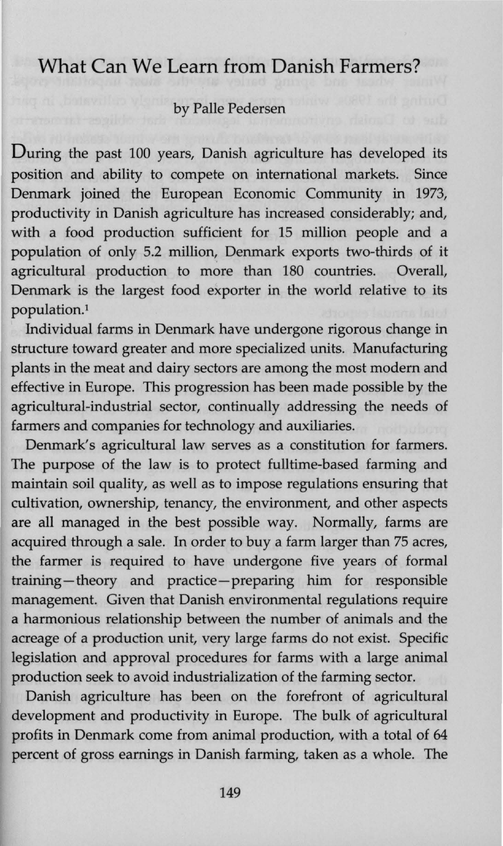### **What Can We Learn from Danish Farmers?**

#### by Palle Pedersen

During the past 100 years, Danish agriculture has developed its position and ability to compete on international markets. Since Denmark joined the European Economic Community in 1973, productivity in Danish agriculture has increased considerably; and, with a food production sufficient for 15 million people and a population of only 5.2 million, Denmark exports two-thirds of it agricultural production to more than 180 countries. Overall, Denmark is the largest food exporter in the world relative to its population.1

Individual farms in Denmark have undergone rigorous change in structure toward greater and more specialized units. Manufacturing plants in the meat and dairy sectors are among the most modem and effective in Europe. This progression has been made possible by the agricultural-industrial sector, continually addressing the needs of farmers and companies for technology and auxiliaries.

Denmark's agricultural law serves as a constitution for farmers. The purpose of the law is to protect fulltime-based farming and maintain soil quality, as well as to impose regulations ensuring that cultivation, ownership, tenancy, the environment, and other aspects are all managed in the best possible way. Normally, farms are acquired through a sale. In order to buy a farm larger than 75 acres, the farmer is required to have undergone five years of formal training-theory and practice-preparing him for responsible management. Given that Danish environmental regulations require a harmonious relationship between the number of animals and the acreage of a production unit, very large farms do not exist. Specific legislation and approval procedures for farms with a large animal production seek to avoid industrialization of the farming sector.

Danish agriculture has been on the forefront of agricultural development and productivity in Europe. The bulk of agricultural profits in Denmark come from animal production, with a total of 64 percent of gross earnings in Danish farming, taken as a whole. The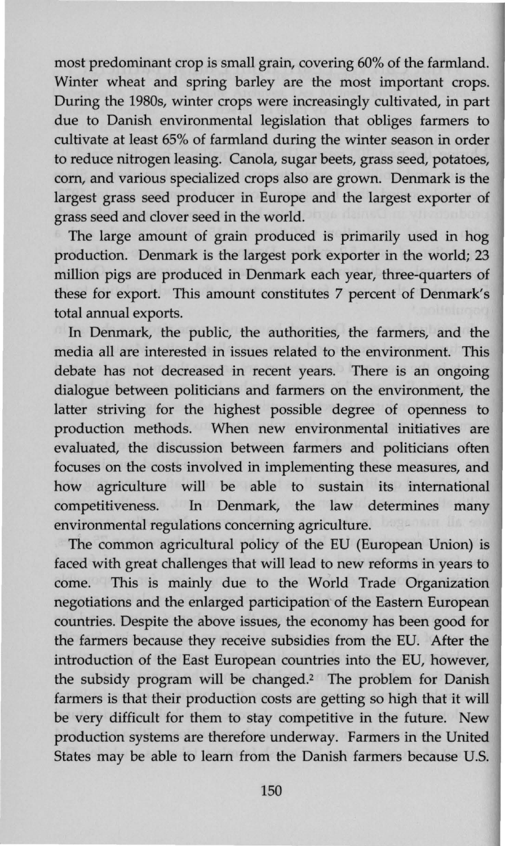most predominant crop is small grain, covering 60% of the farmland. Winter wheat and spring barley are the most important crops. During the 1980s, winter crops were increasingly cultivated, in part due to Danish environmental legislation that obliges farmers to cultivate at least 65% of farmland during the winter season in order to reduce nitrogen leasing. Canola, sugar beets, grass seed, potatoes, corn, and various specialized crops also are grown. Denmark is the largest grass seed producer in Europe and the largest exporter of grass seed and clover seed in the world.

The large amount of grain produced is primarily used in hog production. Denmark is the largest pork exporter in the world; 23 million pigs are produced in Denmark each year, three-quarters of these for export. This amount constitutes 7 percent of Denmark's total annual exports.

In Denmark, the public, the authorities, the farmers, and the media all are interested in issues related to the environment. This debate has not decreased in recent years. There is an ongoing dialogue between politicians and farmers on the environment, the latter striving for the highest possible degree of openness to production methods. When new environmental initiatives are evaluated, the discussion between farmers and politicians often focuses on the costs involved in implementing these measures, and how agriculture will be able to sustain its international competitiveness. In Denmark, the law determines many environmental regulations concerning agriculture.

The common agricultural policy of the EU (European Union) is faced with great challenges that will lead to new reforms in years to come. This is mainly due to the World Trade Organization negotiations and the enlarged participation of the Eastern European countries. Despite the above issues, the economy has been good for the farmers because they receive subsidies from the EU. After the introduction of the East European countries into the EU, however, the subsidy program will be changed.<sup>2</sup> The problem for Danish farmers is that their production costs are getting so high that it will be very difficult for them to stay competitive in the future. New production systems are therefore underway. Farmers in the United States may be able to learn from the Danish farmers because U.S.

150